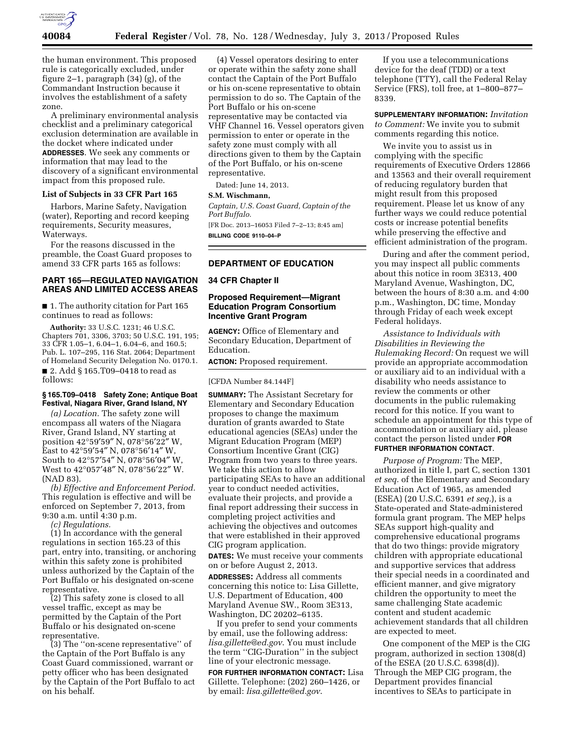

the human environment. This proposed rule is categorically excluded, under figure 2–1, paragraph (34) (g), of the Commandant Instruction because it involves the establishment of a safety zone.

A preliminary environmental analysis checklist and a preliminary categorical exclusion determination are available in the docket where indicated under **ADDRESSES**. We seek any comments or information that may lead to the discovery of a significant environmental impact from this proposed rule.

#### **List of Subjects in 33 CFR Part 165**

Harbors, Marine Safety, Navigation (water), Reporting and record keeping requirements, Security measures, Waterways.

For the reasons discussed in the preamble, the Coast Guard proposes to amend 33 CFR parts 165 as follows:

# **PART 165—REGULATED NAVIGATION AREAS AND LIMITED ACCESS AREAS**

■ 1. The authority citation for Part 165 continues to read as follows:

**Authority:** 33 U.S.C. 1231; 46 U.S.C. Chapters 701, 3306, 3703; 50 U.S.C. 191, 195; 33 CFR 1.05–1, 6.04–1, 6.04–6, and 160.5; Pub. L. 107–295, 116 Stat. 2064; Department of Homeland Security Delegation No. 0170.1. ■ 2. Add § 165.T09-0418 to read as follows:

#### **§ 165.T09–0418 Safety Zone; Antique Boat Festival, Niagara River, Grand Island, NY**

*(a) Location.* The safety zone will encompass all waters of the Niagara River, Grand Island, NY starting at position 42°59′59″ N, 078°56′22″ W, East to 42°59′54″ N, 078°56′14″ W, South to 42°57′54″ N, 078°56′04″ W, West to 42°057′48″ N, 078°56′22″ W. (NAD 83).

*(b) Effective and Enforcement Period.*  This regulation is effective and will be enforced on September 7, 2013, from 9:30 a.m. until 4:30 p.m.

*(c) Regulations.* 

(1) In accordance with the general regulations in section 165.23 of this part, entry into, transiting, or anchoring within this safety zone is prohibited unless authorized by the Captain of the Port Buffalo or his designated on-scene representative.

(2) This safety zone is closed to all vessel traffic, except as may be permitted by the Captain of the Port Buffalo or his designated on-scene representative.

(3) The ''on-scene representative'' of the Captain of the Port Buffalo is any Coast Guard commissioned, warrant or petty officer who has been designated by the Captain of the Port Buffalo to act on his behalf.

(4) Vessel operators desiring to enter or operate within the safety zone shall contact the Captain of the Port Buffalo or his on-scene representative to obtain permission to do so. The Captain of the Port Buffalo or his on-scene representative may be contacted via VHF Channel 16. Vessel operators given permission to enter or operate in the safety zone must comply with all directions given to them by the Captain of the Port Buffalo, or his on-scene representative.

Dated: June 14, 2013.

# **S.M. Wischmann,**

*Captain, U.S. Coast Guard, Captain of the Port Buffalo.* 

[FR Doc. 2013–16053 Filed 7–2–13; 8:45 am] **BILLING CODE 9110–04–P** 

## **DEPARTMENT OF EDUCATION**

## **34 CFR Chapter II**

# **Proposed Requirement—Migrant Education Program Consortium Incentive Grant Program**

**AGENCY:** Office of Elementary and Secondary Education, Department of Education.

**ACTION:** Proposed requirement.

#### [CFDA Number 84.144F]

**SUMMARY:** The Assistant Secretary for Elementary and Secondary Education proposes to change the maximum duration of grants awarded to State educational agencies (SEAs) under the Migrant Education Program (MEP) Consortium Incentive Grant (CIG) Program from two years to three years. We take this action to allow participating SEAs to have an additional year to conduct needed activities, evaluate their projects, and provide a final report addressing their success in completing project activities and achieving the objectives and outcomes that were established in their approved CIG program application.

**DATES:** We must receive your comments on or before August 2, 2013.

**ADDRESSES:** Address all comments concerning this notice to: Lisa Gillette, U.S. Department of Education, 400 Maryland Avenue SW., Room 3E313, Washington, DC 20202–6135.

If you prefer to send your comments by email, use the following address: *[lisa.gillette@ed.gov](mailto:lisa.gillette@ed.gov)*. You must include the term ''CIG-Duration'' in the subject line of your electronic message.

**FOR FURTHER INFORMATION CONTACT:** Lisa Gillette. Telephone: (202) 260–1426, or by email: *[lisa.gillette@ed.gov](mailto:lisa.gillette@ed.gov)*.

If you use a telecommunications device for the deaf (TDD) or a text telephone (TTY), call the Federal Relay Service (FRS), toll free, at 1–800–877– 8339.

**SUPPLEMENTARY INFORMATION:** *Invitation to Comment:* We invite you to submit comments regarding this notice.

We invite you to assist us in complying with the specific requirements of Executive Orders 12866 and 13563 and their overall requirement of reducing regulatory burden that might result from this proposed requirement. Please let us know of any further ways we could reduce potential costs or increase potential benefits while preserving the effective and efficient administration of the program.

During and after the comment period, you may inspect all public comments about this notice in room 3E313, 400 Maryland Avenue, Washington, DC, between the hours of 8:30 a.m. and 4:00 p.m., Washington, DC time, Monday through Friday of each week except Federal holidays.

*Assistance to Individuals with Disabilities in Reviewing the Rulemaking Record:* On request we will provide an appropriate accommodation or auxiliary aid to an individual with a disability who needs assistance to review the comments or other documents in the public rulemaking record for this notice. If you want to schedule an appointment for this type of accommodation or auxiliary aid, please contact the person listed under **FOR FURTHER INFORMATION CONTACT**.

*Purpose of Program:* The MEP, authorized in title I, part C, section 1301 *et seq.* of the Elementary and Secondary Education Act of 1965, as amended (ESEA) (20 U.S.C. 6391 *et seq.*), is a State-operated and State-administered formula grant program. The MEP helps SEAs support high-quality and comprehensive educational programs that do two things: provide migratory children with appropriate educational and supportive services that address their special needs in a coordinated and efficient manner, and give migratory children the opportunity to meet the same challenging State academic content and student academic achievement standards that all children are expected to meet.

One component of the MEP is the CIG program, authorized in section 1308(d) of the ESEA (20 U.S.C. 6398(d)). Through the MEP CIG program, the Department provides financial incentives to SEAs to participate in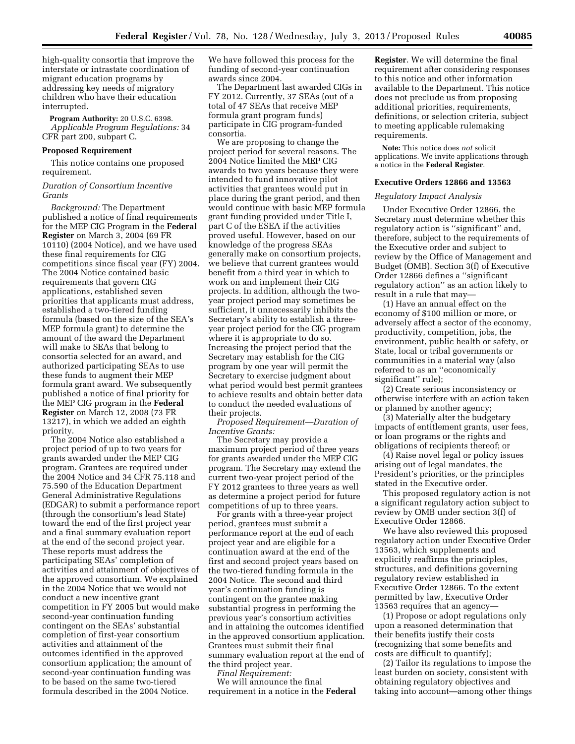high-quality consortia that improve the interstate or intrastate coordination of migrant education programs by addressing key needs of migratory children who have their education interrupted.

**Program Authority:** 20 U.S.C. 6398. *Applicable Program Regulations:* 34 CFR part 200, subpart C.

#### **Proposed Requirement**

This notice contains one proposed requirement.

### *Duration of Consortium Incentive Grants*

*Background:* The Department published a notice of final requirements for the MEP CIG Program in the **Federal Register** on March 3, 2004 (69 FR 10110) (2004 Notice), and we have used these final requirements for CIG competitions since fiscal year (FY) 2004. The 2004 Notice contained basic requirements that govern CIG applications, established seven priorities that applicants must address, established a two-tiered funding formula (based on the size of the SEA's MEP formula grant) to determine the amount of the award the Department will make to SEAs that belong to consortia selected for an award, and authorized participating SEAs to use these funds to augment their MEP formula grant award. We subsequently published a notice of final priority for the MEP CIG program in the **Federal Register** on March 12, 2008 (73 FR 13217), in which we added an eighth priority.

The 2004 Notice also established a project period of up to two years for grants awarded under the MEP CIG program. Grantees are required under the 2004 Notice and 34 CFR 75.118 and 75.590 of the Education Department General Administrative Regulations (EDGAR) to submit a performance report (through the consortium's lead State) toward the end of the first project year and a final summary evaluation report at the end of the second project year. These reports must address the participating SEAs' completion of activities and attainment of objectives of the approved consortium. We explained in the 2004 Notice that we would not conduct a new incentive grant competition in FY 2005 but would make second-year continuation funding contingent on the SEAs' substantial completion of first-year consortium activities and attainment of the outcomes identified in the approved consortium application; the amount of second-year continuation funding was to be based on the same two-tiered formula described in the 2004 Notice.

We have followed this process for the funding of second-year continuation awards since 2004.

The Department last awarded CIGs in FY 2012. Currently, 37 SEAs (out of a total of 47 SEAs that receive MEP formula grant program funds) participate in CIG program-funded consortia.

We are proposing to change the project period for several reasons. The 2004 Notice limited the MEP CIG awards to two years because they were intended to fund innovative pilot activities that grantees would put in place during the grant period, and then would continue with basic MEP formula grant funding provided under Title I, part C of the ESEA if the activities proved useful. However, based on our knowledge of the progress SEAs generally make on consortium projects, we believe that current grantees would benefit from a third year in which to work on and implement their CIG projects. In addition, although the twoyear project period may sometimes be sufficient, it unnecessarily inhibits the Secretary's ability to establish a threeyear project period for the CIG program where it is appropriate to do so. Increasing the project period that the Secretary may establish for the CIG program by one year will permit the Secretary to exercise judgment about what period would best permit grantees to achieve results and obtain better data to conduct the needed evaluations of their projects.

*Proposed Requirement—Duration of Incentive Grants:* 

The Secretary may provide a maximum project period of three years for grants awarded under the MEP CIG program. The Secretary may extend the current two-year project period of the FY 2012 grantees to three years as well as determine a project period for future competitions of up to three years.

For grants with a three-year project period, grantees must submit a performance report at the end of each project year and are eligible for a continuation award at the end of the first and second project years based on the two-tiered funding formula in the 2004 Notice. The second and third year's continuation funding is contingent on the grantee making substantial progress in performing the previous year's consortium activities and in attaining the outcomes identified in the approved consortium application. Grantees must submit their final summary evaluation report at the end of the third project year.

*Final Requirement:*  We will announce the final requirement in a notice in the **Federal** 

**Register**. We will determine the final requirement after considering responses to this notice and other information available to the Department. This notice does not preclude us from proposing additional priorities, requirements, definitions, or selection criteria, subject to meeting applicable rulemaking requirements.

**Note:** This notice does *not* solicit applications. We invite applications through a notice in the **Federal Register**.

#### **Executive Orders 12866 and 13563**

#### *Regulatory Impact Analysis*

Under Executive Order 12866, the Secretary must determine whether this regulatory action is ''significant'' and, therefore, subject to the requirements of the Executive order and subject to review by the Office of Management and Budget (OMB). Section 3(f) of Executive Order 12866 defines a ''significant regulatory action'' as an action likely to result in a rule that may—

(1) Have an annual effect on the economy of \$100 million or more, or adversely affect a sector of the economy, productivity, competition, jobs, the environment, public health or safety, or State, local or tribal governments or communities in a material way (also referred to as an ''economically significant'' rule);

(2) Create serious inconsistency or otherwise interfere with an action taken or planned by another agency;

(3) Materially alter the budgetary impacts of entitlement grants, user fees, or loan programs or the rights and obligations of recipients thereof; or

(4) Raise novel legal or policy issues arising out of legal mandates, the President's priorities, or the principles stated in the Executive order.

This proposed regulatory action is not a significant regulatory action subject to review by OMB under section 3(f) of Executive Order 12866.

We have also reviewed this proposed regulatory action under Executive Order 13563, which supplements and explicitly reaffirms the principles, structures, and definitions governing regulatory review established in Executive Order 12866. To the extent permitted by law, Executive Order 13563 requires that an agency—

(1) Propose or adopt regulations only upon a reasoned determination that their benefits justify their costs (recognizing that some benefits and costs are difficult to quantify);

(2) Tailor its regulations to impose the least burden on society, consistent with obtaining regulatory objectives and taking into account—among other things